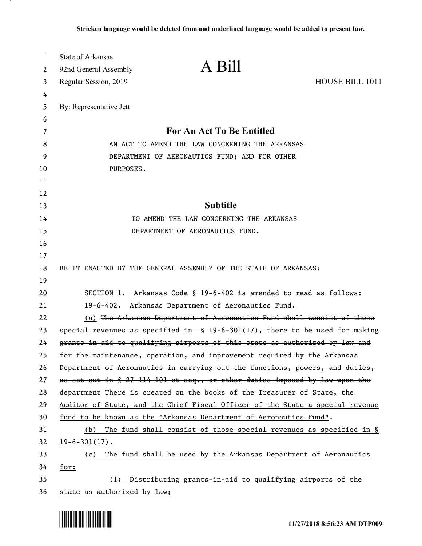| $\mathbf{1}$ | <b>State of Arkansas</b>                      |                                                                                |                 |
|--------------|-----------------------------------------------|--------------------------------------------------------------------------------|-----------------|
| 2            | 92nd General Assembly                         | A Bill                                                                         |                 |
| 3            | Regular Session, 2019                         |                                                                                | HOUSE BILL 1011 |
| 4            |                                               |                                                                                |                 |
| 5            | By: Representative Jett                       |                                                                                |                 |
| 6            |                                               |                                                                                |                 |
| 7            |                                               | <b>For An Act To Be Entitled</b>                                               |                 |
| 8            |                                               | AN ACT TO AMEND THE LAW CONCERNING THE ARKANSAS                                |                 |
| 9            | DEPARTMENT OF AERONAUTICS FUND; AND FOR OTHER |                                                                                |                 |
| 10           | PURPOSES.                                     |                                                                                |                 |
| 11           |                                               |                                                                                |                 |
| 12           |                                               |                                                                                |                 |
| 13           |                                               | <b>Subtitle</b>                                                                |                 |
| 14           |                                               | TO AMEND THE LAW CONCERNING THE ARKANSAS                                       |                 |
| 15           |                                               | DEPARTMENT OF AERONAUTICS FUND.                                                |                 |
| 16           |                                               |                                                                                |                 |
| 17           |                                               |                                                                                |                 |
| 18           |                                               | BE IT ENACTED BY THE GENERAL ASSEMBLY OF THE STATE OF ARKANSAS:                |                 |
| 19           |                                               |                                                                                |                 |
| 20           |                                               | SECTION 1. Arkansas Code § 19-6-402 is amended to read as follows:             |                 |
| 21           |                                               | 19-6-402. Arkansas Department of Aeronautics Fund.                             |                 |
| 22           |                                               | (a) The Arkansas Department of Aeronauties Fund shall consist of those         |                 |
| 23           |                                               | special revenues as specified in $$19-6-301(17)$ , there to be used for making |                 |
| 24           |                                               | grants-in-aid to qualifying airports of this state as authorized by law and    |                 |
| 25           |                                               | for the maintenance, operation, and improvement required by the Arkansas       |                 |
| 26           |                                               | Department of Aeronautics in carrying out the functions, powers, and duties,   |                 |
| 27           |                                               | as set out in § 27-114-101 et seq., or other duties imposed by law upon the    |                 |
| 28           |                                               | department There is created on the books of the Treasurer of State, the        |                 |
| 29           |                                               | Auditor of State, and the Chief Fiscal Officer of the State a special revenue  |                 |
| 30           |                                               | fund to be known as the "Arkansas Department of Aeronautics Fund".             |                 |
| 31           | (b)                                           | The fund shall consist of those special revenues as specified in $\S$          |                 |
| 32           | $19 - 6 - 301(17)$ .                          |                                                                                |                 |
| 33           | (c)                                           | The fund shall be used by the Arkansas Department of Aeronautics               |                 |
| 34           | for:                                          |                                                                                |                 |
| 35           | (1)                                           | Distributing grants-in-aid to qualifying airports of the                       |                 |
| 36           | state as authorized by law;                   |                                                                                |                 |